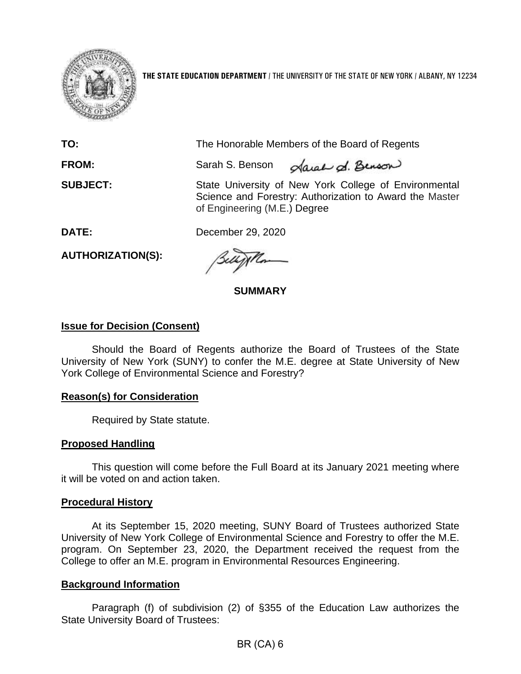

**THE STATE EDUCATION DEPARTMENT** / THE UNIVERSITY OF THE STATE OF NEW YORK / ALBANY, NY 12234

| TO:             | The Honorable Members of the Board of Regents                                                                                                    |
|-----------------|--------------------------------------------------------------------------------------------------------------------------------------------------|
| <b>FROM:</b>    | Sarah S. Benson <i>Aarah d. Benson</i>                                                                                                           |
| <b>SUBJECT:</b> | State University of New York College of Environmental<br>Science and Forestry: Authorization to Award the Master<br>of Engineering (M.E.) Degree |

**DATE:** December 29, 2020

**AUTHORIZATION(S):** 

**SUMMARY** 

# **Issue for Decision (Consent)**

Should the Board of Regents authorize the Board of Trustees of the State University of New York (SUNY) to confer the M.E. degree at State University of New York College of Environmental Science and Forestry?

## **Reason(s) for Consideration**

Required by State statute.

# **Proposed Handling**

This question will come before the Full Board at its January 2021 meeting where it will be voted on and action taken.

## **Procedural History**

At its September 15, 2020 meeting, SUNY Board of Trustees authorized State University of New York College of Environmental Science and Forestry to offer the M.E. program. On September 23, 2020, the Department received the request from the College to offer an M.E. program in Environmental Resources Engineering.

# **Background Information**

 Paragraph (f) of subdivision (2) of §355 of the Education Law authorizes the State University Board of Trustees: